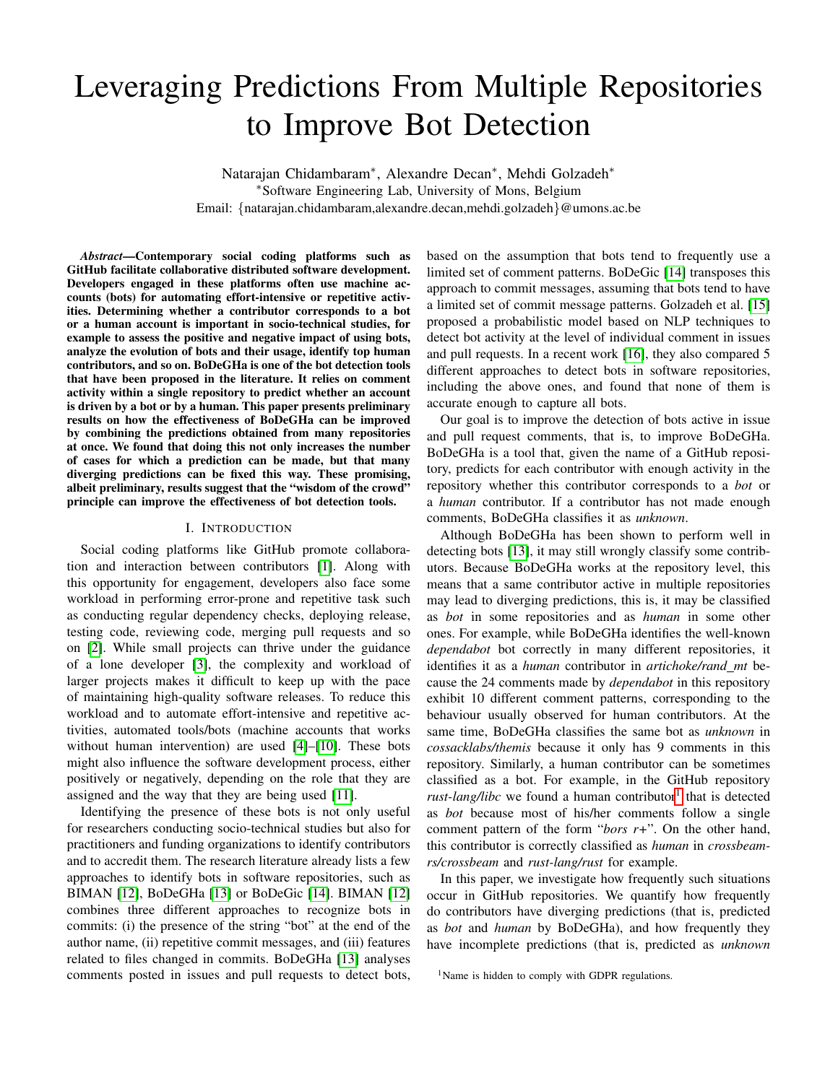# Leveraging Predictions From Multiple Repositories to Improve Bot Detection

Natarajan Chidambaram<sup>∗</sup> , Alexandre Decan<sup>∗</sup> , Mehdi Golzadeh<sup>∗</sup> <sup>∗</sup>Software Engineering Lab, University of Mons, Belgium Email: {natarajan.chidambaram,alexandre.decan,mehdi.golzadeh}@umons.ac.be

*Abstract*—Contemporary social coding platforms such as GitHub facilitate collaborative distributed software development. Developers engaged in these platforms often use machine accounts (bots) for automating effort-intensive or repetitive activities. Determining whether a contributor corresponds to a bot or a human account is important in socio-technical studies, for example to assess the positive and negative impact of using bots, analyze the evolution of bots and their usage, identify top human contributors, and so on. BoDeGHa is one of the bot detection tools that have been proposed in the literature. It relies on comment activity within a single repository to predict whether an account is driven by a bot or by a human. This paper presents preliminary results on how the effectiveness of BoDeGHa can be improved by combining the predictions obtained from many repositories at once. We found that doing this not only increases the number of cases for which a prediction can be made, but that many diverging predictions can be fixed this way. These promising, albeit preliminary, results suggest that the "wisdom of the crowd" principle can improve the effectiveness of bot detection tools.

## I. INTRODUCTION

Social coding platforms like GitHub promote collaboration and interaction between contributors [\[1\]](#page-3-0). Along with this opportunity for engagement, developers also face some workload in performing error-prone and repetitive task such as conducting regular dependency checks, deploying release, testing code, reviewing code, merging pull requests and so on [\[2\]](#page-3-1). While small projects can thrive under the guidance of a lone developer [\[3\]](#page-3-2), the complexity and workload of larger projects makes it difficult to keep up with the pace of maintaining high-quality software releases. To reduce this workload and to automate effort-intensive and repetitive activities, automated tools/bots (machine accounts that works without human intervention) are used [\[4\]](#page-3-3)–[\[10\]](#page-3-4). These bots might also influence the software development process, either positively or negatively, depending on the role that they are assigned and the way that they are being used [\[11\]](#page-3-5).

Identifying the presence of these bots is not only useful for researchers conducting socio-technical studies but also for practitioners and funding organizations to identify contributors and to accredit them. The research literature already lists a few approaches to identify bots in software repositories, such as BIMAN [\[12\]](#page-3-6), BoDeGHa [\[13\]](#page-3-7) or BoDeGic [\[14\]](#page-4-0). BIMAN [\[12\]](#page-3-6) combines three different approaches to recognize bots in commits: (i) the presence of the string "bot" at the end of the author name, (ii) repetitive commit messages, and (iii) features related to files changed in commits. BoDeGHa [\[13\]](#page-3-7) analyses comments posted in issues and pull requests to detect bots, based on the assumption that bots tend to frequently use a limited set of comment patterns. BoDeGic [\[14\]](#page-4-0) transposes this approach to commit messages, assuming that bots tend to have a limited set of commit message patterns. Golzadeh et al. [\[15\]](#page-4-1) proposed a probabilistic model based on NLP techniques to detect bot activity at the level of individual comment in issues and pull requests. In a recent work [\[16\]](#page-4-2), they also compared 5 different approaches to detect bots in software repositories, including the above ones, and found that none of them is accurate enough to capture all bots.

Our goal is to improve the detection of bots active in issue and pull request comments, that is, to improve BoDeGHa. BoDeGHa is a tool that, given the name of a GitHub repository, predicts for each contributor with enough activity in the repository whether this contributor corresponds to a *bot* or a *human* contributor. If a contributor has not made enough comments, BoDeGHa classifies it as *unknown*.

Although BoDeGHa has been shown to perform well in detecting bots [\[13\]](#page-3-7), it may still wrongly classify some contributors. Because BoDeGHa works at the repository level, this means that a same contributor active in multiple repositories may lead to diverging predictions, this is, it may be classified as *bot* in some repositories and as *human* in some other ones. For example, while BoDeGHa identifies the well-known *dependabot* bot correctly in many different repositories, it identifies it as a *human* contributor in *artichoke/rand mt* because the 24 comments made by *dependabot* in this repository exhibit 10 different comment patterns, corresponding to the behaviour usually observed for human contributors. At the same time, BoDeGHa classifies the same bot as *unknown* in *cossacklabs/themis* because it only has 9 comments in this repository. Similarly, a human contributor can be sometimes classified as a bot. For example, in the GitHub repository rust-lang/libc we found a human contributor<sup>[1](#page-0-0)</sup> that is detected as *bot* because most of his/her comments follow a single comment pattern of the form "*bors r+*". On the other hand, this contributor is correctly classified as *human* in *crossbeamrs/crossbeam* and *rust-lang/rust* for example.

In this paper, we investigate how frequently such situations occur in GitHub repositories. We quantify how frequently do contributors have diverging predictions (that is, predicted as *bot* and *human* by BoDeGHa), and how frequently they have incomplete predictions (that is, predicted as *unknown*

<span id="page-0-0"></span> $<sup>1</sup>$ Name is hidden to comply with GDPR regulations.</sup>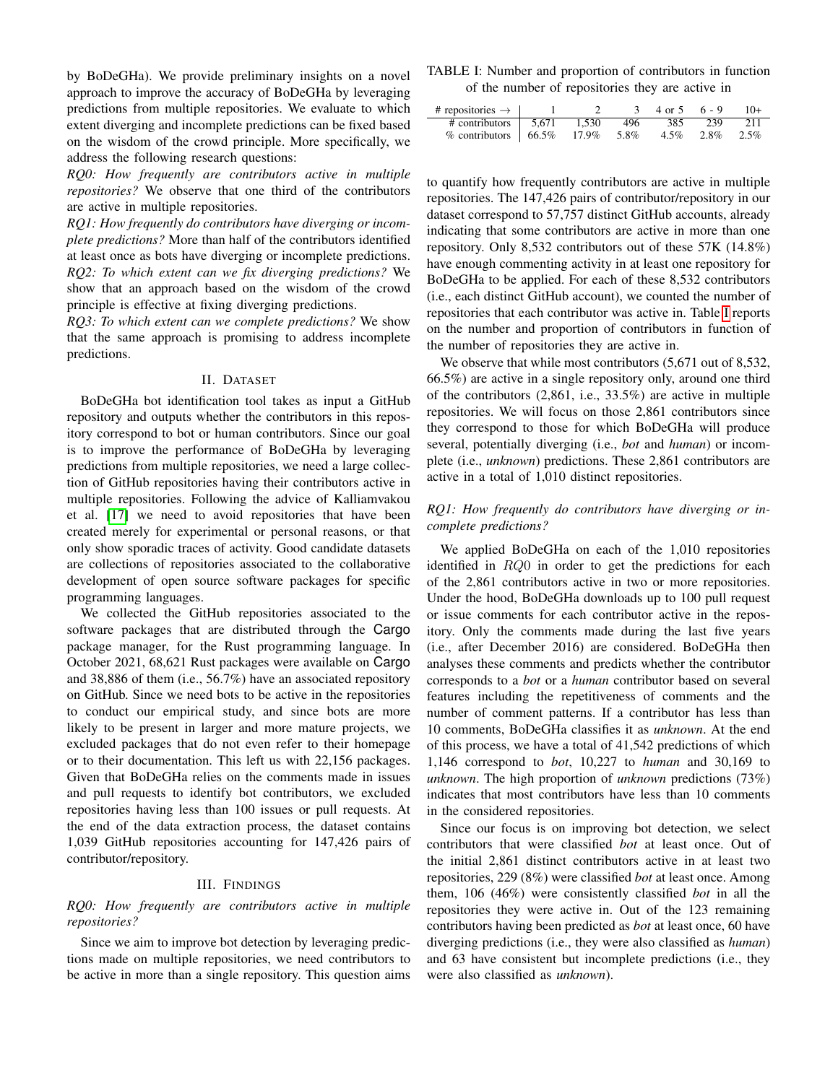by BoDeGHa). We provide preliminary insights on a novel approach to improve the accuracy of BoDeGHa by leveraging predictions from multiple repositories. We evaluate to which extent diverging and incomplete predictions can be fixed based on the wisdom of the crowd principle. More specifically, we address the following research questions:

*RQ0: How frequently are contributors active in multiple repositories?* We observe that one third of the contributors are active in multiple repositories.

*RQ1: How frequently do contributors have diverging or incomplete predictions?* More than half of the contributors identified at least once as bots have diverging or incomplete predictions. *RQ2: To which extent can we fix diverging predictions?* We show that an approach based on the wisdom of the crowd principle is effective at fixing diverging predictions.

*RQ3: To which extent can we complete predictions?* We show that the same approach is promising to address incomplete predictions.

# II. DATASET

BoDeGHa bot identification tool takes as input a GitHub repository and outputs whether the contributors in this repository correspond to bot or human contributors. Since our goal is to improve the performance of BoDeGHa by leveraging predictions from multiple repositories, we need a large collection of GitHub repositories having their contributors active in multiple repositories. Following the advice of Kalliamvakou et al. [\[17\]](#page-4-3) we need to avoid repositories that have been created merely for experimental or personal reasons, or that only show sporadic traces of activity. Good candidate datasets are collections of repositories associated to the collaborative development of open source software packages for specific programming languages.

We collected the GitHub repositories associated to the software packages that are distributed through the Cargo package manager, for the Rust programming language. In October 2021, 68,621 Rust packages were available on Cargo and 38,886 of them (i.e., 56.7%) have an associated repository on GitHub. Since we need bots to be active in the repositories to conduct our empirical study, and since bots are more likely to be present in larger and more mature projects, we excluded packages that do not even refer to their homepage or to their documentation. This left us with 22,156 packages. Given that BoDeGHa relies on the comments made in issues and pull requests to identify bot contributors, we excluded repositories having less than 100 issues or pull requests. At the end of the data extraction process, the dataset contains 1,039 GitHub repositories accounting for 147,426 pairs of contributor/repository.

#### III. FINDINGS

## *RQ0: How frequently are contributors active in multiple repositories?*

Since we aim to improve bot detection by leveraging predictions made on multiple repositories, we need contributors to be active in more than a single repository. This question aims

<span id="page-1-0"></span>TABLE I: Number and proportion of contributors in function of the number of repositories they are active in

| # repositories $\rightarrow$   1                                               |  | $3 \quad 4 \text{ or } 5 \quad 6 - 9$ |                         | $10+$ |
|--------------------------------------------------------------------------------|--|---------------------------------------|-------------------------|-------|
| $\#$ contributors $\frac{1}{5,671}$ 1,530 496                                  |  |                                       | 385 239                 | 211   |
| % contributors $\begin{array}{ l} 66.5\% \quad 17.9\% \quad 5.8\% \end{array}$ |  |                                       | $4.5\%$ $2.8\%$ $2.5\%$ |       |

to quantify how frequently contributors are active in multiple repositories. The 147,426 pairs of contributor/repository in our dataset correspond to 57,757 distinct GitHub accounts, already indicating that some contributors are active in more than one repository. Only 8,532 contributors out of these 57K (14.8%) have enough commenting activity in at least one repository for BoDeGHa to be applied. For each of these 8,532 contributors (i.e., each distinct GitHub account), we counted the number of repositories that each contributor was active in. Table [I](#page-1-0) reports on the number and proportion of contributors in function of the number of repositories they are active in.

We observe that while most contributors  $(5.671$  out of 8,532, 66.5%) are active in a single repository only, around one third of the contributors (2,861, i.e., 33.5%) are active in multiple repositories. We will focus on those 2,861 contributors since they correspond to those for which BoDeGHa will produce several, potentially diverging (i.e., *bot* and *human*) or incomplete (i.e., *unknown*) predictions. These 2,861 contributors are active in a total of 1,010 distinct repositories.

## *RQ1: How frequently do contributors have diverging or incomplete predictions?*

We applied BoDeGHa on each of the 1,010 repositories identified in RQ0 in order to get the predictions for each of the 2,861 contributors active in two or more repositories. Under the hood, BoDeGHa downloads up to 100 pull request or issue comments for each contributor active in the repository. Only the comments made during the last five years (i.e., after December 2016) are considered. BoDeGHa then analyses these comments and predicts whether the contributor corresponds to a *bot* or a *human* contributor based on several features including the repetitiveness of comments and the number of comment patterns. If a contributor has less than 10 comments, BoDeGHa classifies it as *unknown*. At the end of this process, we have a total of 41,542 predictions of which 1,146 correspond to *bot*, 10,227 to *human* and 30,169 to *unknown*. The high proportion of *unknown* predictions (73%) indicates that most contributors have less than 10 comments in the considered repositories.

Since our focus is on improving bot detection, we select contributors that were classified *bot* at least once. Out of the initial 2,861 distinct contributors active in at least two repositories, 229 (8%) were classified *bot* at least once. Among them, 106 (46%) were consistently classified *bot* in all the repositories they were active in. Out of the 123 remaining contributors having been predicted as *bot* at least once, 60 have diverging predictions (i.e., they were also classified as *human*) and 63 have consistent but incomplete predictions (i.e., they were also classified as *unknown*).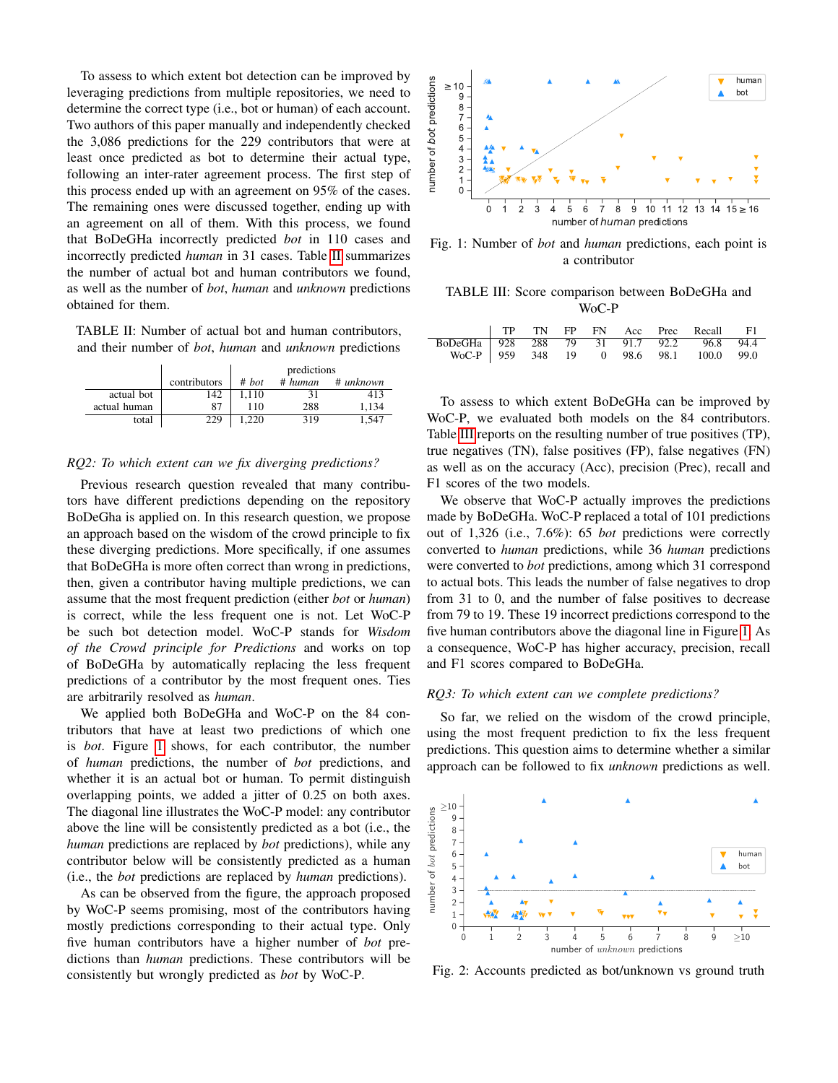To assess to which extent bot detection can be improved by leveraging predictions from multiple repositories, we need to determine the correct type (i.e., bot or human) of each account. Two authors of this paper manually and independently checked the 3,086 predictions for the 229 contributors that were at least once predicted as bot to determine their actual type, following an inter-rater agreement process. The first step of this process ended up with an agreement on 95% of the cases. The remaining ones were discussed together, ending up with an agreement on all of them. With this process, we found that BoDeGHa incorrectly predicted *bot* in 110 cases and incorrectly predicted *human* in 31 cases. Table [II](#page-2-0) summarizes the number of actual bot and human contributors we found, as well as the number of *bot*, *human* and *unknown* predictions obtained for them.

<span id="page-2-0"></span>TABLE II: Number of actual bot and human contributors, and their number of *bot*, *human* and *unknown* predictions

|              |              | predictions |         |           |  |
|--------------|--------------|-------------|---------|-----------|--|
|              | contributors | # hot       | # human | # unknown |  |
| actual bot   | 142          | 1.110       | 31      | 413       |  |
| actual human | 87           | 110         | 288     | 1.134     |  |
| total        | 229          | .220        | 319     | .547      |  |

#### *RQ2: To which extent can we fix diverging predictions?*

Previous research question revealed that many contributors have different predictions depending on the repository BoDeGha is applied on. In this research question, we propose an approach based on the wisdom of the crowd principle to fix these diverging predictions. More specifically, if one assumes that BoDeGHa is more often correct than wrong in predictions, then, given a contributor having multiple predictions, we can assume that the most frequent prediction (either *bot* or *human*) is correct, while the less frequent one is not. Let WoC-P be such bot detection model. WoC-P stands for *Wisdom of the Crowd principle for Predictions* and works on top of BoDeGHa by automatically replacing the less frequent predictions of a contributor by the most frequent ones. Ties are arbitrarily resolved as *human*.

We applied both BoDeGHa and WoC-P on the 84 contributors that have at least two predictions of which one is *bot*. Figure [1](#page-2-1) shows, for each contributor, the number of *human* predictions, the number of *bot* predictions, and whether it is an actual bot or human. To permit distinguish overlapping points, we added a jitter of 0.25 on both axes. The diagonal line illustrates the WoC-P model: any contributor above the line will be consistently predicted as a bot (i.e., the *human* predictions are replaced by *bot* predictions), while any contributor below will be consistently predicted as a human (i.e., the *bot* predictions are replaced by *human* predictions).

As can be observed from the figure, the approach proposed by WoC-P seems promising, most of the contributors having mostly predictions corresponding to their actual type. Only five human contributors have a higher number of *bot* predictions than *human* predictions. These contributors will be consistently but wrongly predicted as *bot* by WoC-P.

<span id="page-2-1"></span>

Fig. 1: Number of *bot* and *human* predictions, each point is a contributor

<span id="page-2-2"></span>TABLE III: Score comparison between BoDeGHa and WoC-P

|                                           |  |  |  | TP TN FP FN Acc Prec Recall F1          |  |
|-------------------------------------------|--|--|--|-----------------------------------------|--|
| BoDeGHa 928 288 79 31 91.7 92.2 96.8 94.4 |  |  |  |                                         |  |
|                                           |  |  |  | WoC-P 959 348 19 0 98.6 98.1 100.0 99.0 |  |

To assess to which extent BoDeGHa can be improved by WoC-P, we evaluated both models on the 84 contributors. Table [III](#page-2-2) reports on the resulting number of true positives (TP), true negatives (TN), false positives (FP), false negatives (FN) as well as on the accuracy (Acc), precision (Prec), recall and F1 scores of the two models.

We observe that WoC-P actually improves the predictions made by BoDeGHa. WoC-P replaced a total of 101 predictions out of 1,326 (i.e., 7.6%): 65 *bot* predictions were correctly converted to *human* predictions, while 36 *human* predictions were converted to *bot* predictions, among which 31 correspond to actual bots. This leads the number of false negatives to drop from 31 to 0, and the number of false positives to decrease from 79 to 19. These 19 incorrect predictions correspond to the five human contributors above the diagonal line in Figure [1.](#page-2-1) As a consequence, WoC-P has higher accuracy, precision, recall and F1 scores compared to BoDeGHa.

# *RQ3: To which extent can we complete predictions?*

So far, we relied on the wisdom of the crowd principle, using the most frequent prediction to fix the less frequent predictions. This question aims to determine whether a similar approach can be followed to fix *unknown* predictions as well.

<span id="page-2-3"></span>

Fig. 2: Accounts predicted as bot/unknown vs ground truth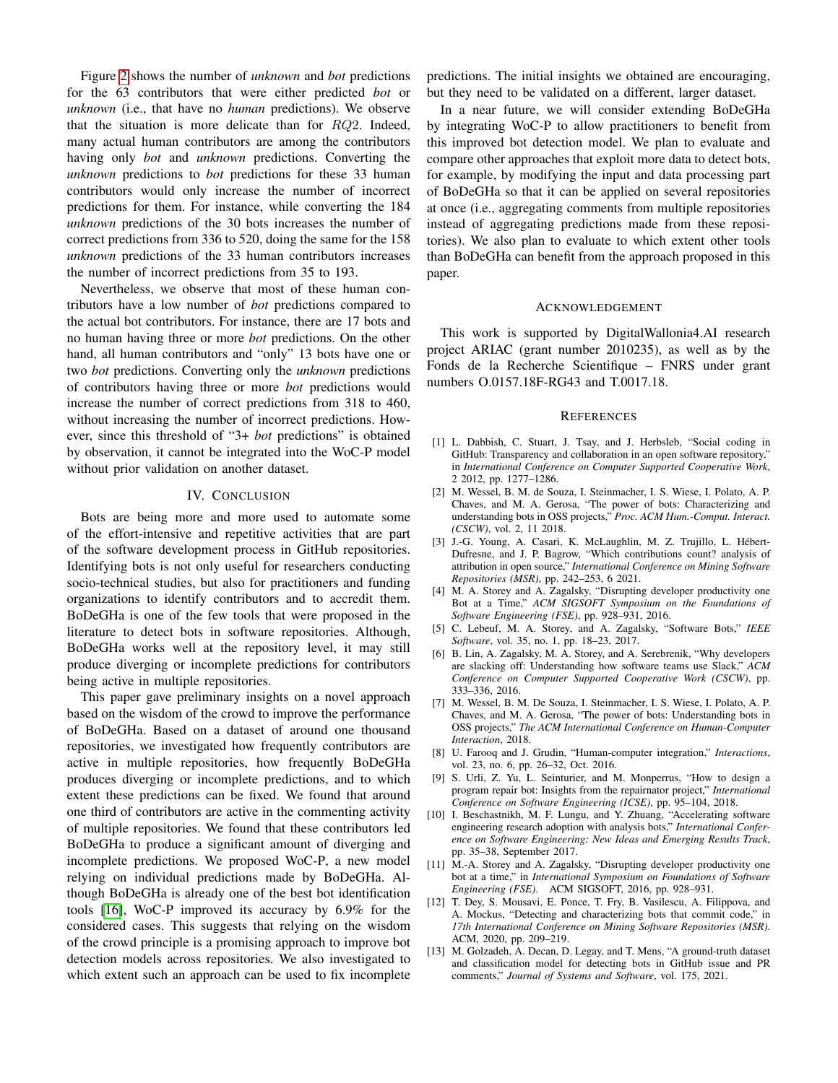Figure [2](#page-2-3) shows the number of *unknown* and *bot* predictions for the 63 contributors that were either predicted *bot* or *unknown* (i.e., that have no *human* predictions). We observe that the situation is more delicate than for  $RQ2$ . Indeed, many actual human contributors are among the contributors having only *bot* and *unknown* predictions. Converting the *unknown* predictions to *bot* predictions for these 33 human contributors would only increase the number of incorrect predictions for them. For instance, while converting the 184 *unknown* predictions of the 30 bots increases the number of correct predictions from 336 to 520, doing the same for the 158 *unknown* predictions of the 33 human contributors increases the number of incorrect predictions from 35 to 193.

Nevertheless, we observe that most of these human contributors have a low number of *bot* predictions compared to the actual bot contributors. For instance, there are 17 bots and no human having three or more *bot* predictions. On the other hand, all human contributors and "only" 13 bots have one or two *bot* predictions. Converting only the *unknown* predictions of contributors having three or more *bot* predictions would increase the number of correct predictions from 318 to 460, without increasing the number of incorrect predictions. However, since this threshold of "3+ *bot* predictions" is obtained by observation, it cannot be integrated into the WoC-P model without prior validation on another dataset.

### IV. CONCLUSION

Bots are being more and more used to automate some of the effort-intensive and repetitive activities that are part of the software development process in GitHub repositories. Identifying bots is not only useful for researchers conducting socio-technical studies, but also for practitioners and funding organizations to identify contributors and to accredit them. BoDeGHa is one of the few tools that were proposed in the literature to detect bots in software repositories. Although, BoDeGHa works well at the repository level, it may still produce diverging or incomplete predictions for contributors being active in multiple repositories.

This paper gave preliminary insights on a novel approach based on the wisdom of the crowd to improve the performance of BoDeGHa. Based on a dataset of around one thousand repositories, we investigated how frequently contributors are active in multiple repositories, how frequently BoDeGHa produces diverging or incomplete predictions, and to which extent these predictions can be fixed. We found that around one third of contributors are active in the commenting activity of multiple repositories. We found that these contributors led BoDeGHa to produce a significant amount of diverging and incomplete predictions. We proposed WoC-P, a new model relying on individual predictions made by BoDeGHa. Although BoDeGHa is already one of the best bot identification tools [\[16\]](#page-4-2), WoC-P improved its accuracy by 6.9% for the considered cases. This suggests that relying on the wisdom of the crowd principle is a promising approach to improve bot detection models across repositories. We also investigated to which extent such an approach can be used to fix incomplete

predictions. The initial insights we obtained are encouraging, but they need to be validated on a different, larger dataset.

In a near future, we will consider extending BoDeGHa by integrating WoC-P to allow practitioners to benefit from this improved bot detection model. We plan to evaluate and compare other approaches that exploit more data to detect bots, for example, by modifying the input and data processing part of BoDeGHa so that it can be applied on several repositories at once (i.e., aggregating comments from multiple repositories instead of aggregating predictions made from these repositories). We also plan to evaluate to which extent other tools than BoDeGHa can benefit from the approach proposed in this paper.

#### ACKNOWLEDGEMENT

This work is supported by DigitalWallonia4.AI research project ARIAC (grant number 2010235), as well as by the Fonds de la Recherche Scientifique – FNRS under grant numbers O.0157.18F-RG43 and T.0017.18.

#### **REFERENCES**

- <span id="page-3-0"></span>[1] L. Dabbish, C. Stuart, J. Tsay, and J. Herbsleb, "Social coding in GitHub: Transparency and collaboration in an open software repository, in *International Conference on Computer Supported Cooperative Work*, 2 2012, pp. 1277–1286.
- <span id="page-3-1"></span>[2] M. Wessel, B. M. de Souza, I. Steinmacher, I. S. Wiese, I. Polato, A. P. Chaves, and M. A. Gerosa, "The power of bots: Characterizing and understanding bots in OSS projects," *Proc. ACM Hum.-Comput. Interact. (CSCW)*, vol. 2, 11 2018.
- <span id="page-3-2"></span>[3] J.-G. Young, A. Casari, K. McLaughlin, M. Z. Trujillo, L. Hébert-Dufresne, and J. P. Bagrow, "Which contributions count? analysis of attribution in open source," *International Conference on Mining Software Repositories (MSR)*, pp. 242–253, 6 2021.
- <span id="page-3-3"></span>[4] M. A. Storey and A. Zagalsky, "Disrupting developer productivity one Bot at a Time," *ACM SIGSOFT Symposium on the Foundations of Software Engineering (FSE)*, pp. 928–931, 2016.
- [5] C. Lebeuf, M. A. Storey, and A. Zagalsky, "Software Bots," *IEEE Software*, vol. 35, no. 1, pp. 18–23, 2017.
- [6] B. Lin, A. Zagalsky, M. A. Storey, and A. Serebrenik, "Why developers are slacking off: Understanding how software teams use Slack," *ACM Conference on Computer Supported Cooperative Work (CSCW)*, pp. 333–336, 2016.
- [7] M. Wessel, B. M. De Souza, I. Steinmacher, I. S. Wiese, I. Polato, A. P. Chaves, and M. A. Gerosa, "The power of bots: Understanding bots in OSS projects," *The ACM International Conference on Human-Computer Interaction*, 2018.
- [8] U. Farooq and J. Grudin, "Human-computer integration," *Interactions*, vol. 23, no. 6, pp. 26–32, Oct. 2016.
- [9] S. Urli, Z. Yu, L. Seinturier, and M. Monperrus, "How to design a program repair bot: Insights from the repairnator project," *International Conference on Software Engineering (ICSE)*, pp. 95–104, 2018.
- <span id="page-3-4"></span>[10] I. Beschastnikh, M. F. Lungu, and Y. Zhuang, "Accelerating software engineering research adoption with analysis bots," *International Conference on Software Engineering: New Ideas and Emerging Results Track*, pp. 35–38, September 2017.
- <span id="page-3-5"></span>[11] M.-A. Storey and A. Zagalsky, "Disrupting developer productivity one bot at a time," in *International Symposium on Foundations of Software Engineering (FSE)*. ACM SIGSOFT, 2016, pp. 928–931.
- <span id="page-3-6"></span>[12] T. Dey, S. Mousavi, E. Ponce, T. Fry, B. Vasilescu, A. Filippova, and A. Mockus, "Detecting and characterizing bots that commit code," in *17th International Conference on Mining Software Repositories (MSR)*. ACM, 2020, pp. 209–219.
- <span id="page-3-7"></span>[13] M. Golzadeh, A. Decan, D. Legay, and T. Mens, "A ground-truth dataset and classification model for detecting bots in GitHub issue and PR comments," *Journal of Systems and Software*, vol. 175, 2021.